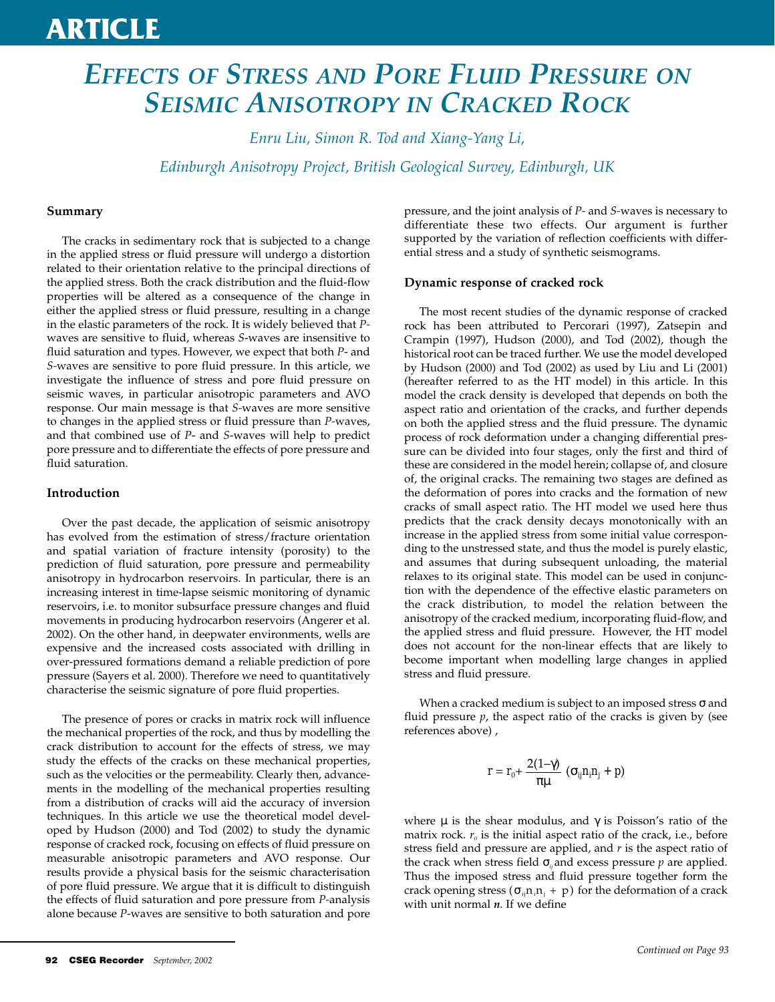## **ARTICLE**

## *EFFECTS OF STRESS AND PORE FLUID PRESSURE ON SEISMIC ANISOTROPY IN CRACKED ROCK*

*Enru Liu, Simon R. Tod and Xiang-Yang Li,*

*Edinburgh Anisotropy Project, British Geological Survey, Edinburgh, UK*

### **Summary**

The cracks in sedimentary rock that is subjected to a change in the applied stress or fluid pressure will undergo a distortion related to their orientation relative to the principal directions of the applied stress. Both the crack distribution and the fluid-flow properties will be altered as a consequence of the change in either the applied stress or fluid pressure, resulting in a change in the elastic parameters of the rock. It is widely believed that *P*waves are sensitive to fluid, whereas *S*-waves are insensitive to fluid saturation and types. However, we expect that both *P*- and *S-*waves are sensitive to pore fluid pressure. In this article, we investigate the influence of stress and pore fluid pressure on seismic waves, in particular anisotropic parameters and AVO response. Our main message is that *S-*waves are more sensitive to changes in the applied stress or fluid pressure than *P-*waves, and that combined use of *P*- and *S*-waves will help to predict pore pressure and to differentiate the effects of pore pressure and fluid saturation.

### **Introduction**

Over the past decade, the application of seismic anisotropy has evolved from the estimation of stress/fracture orientation and spatial variation of fracture intensity (porosity) to the prediction of fluid saturation, pore pressure and permeability anisotropy in hydrocarbon reservoirs. In particular, there is an increasing interest in time-lapse seismic monitoring of dynamic reservoirs, i.e. to monitor subsurface pressure changes and fluid movements in producing hydrocarbon reservoirs (Angerer et al. 2002). On the other hand, in deepwater environments, wells are expensive and the increased costs associated with drilling in over-pressured formations demand a reliable prediction of pore pressure (Sayers et al. 2000). Therefore we need to quantitatively characterise the seismic signature of pore fluid properties.

The presence of pores or cracks in matrix rock will influence the mechanical properties of the rock, and thus by modelling the crack distribution to account for the effects of stress, we may study the effects of the cracks on these mechanical properties, such as the velocities or the permeability. Clearly then, advancements in the modelling of the mechanical properties resulting from a distribution of cracks will aid the accuracy of inversion techniques. In this article we use the theoretical model developed by Hudson (2000) and Tod (2002) to study the dynamic response of cracked rock, focusing on effects of fluid pressure on measurable anisotropic parameters and AVO response. Our results provide a physical basis for the seismic characterisation of pore fluid pressure. We argue that it is difficult to distinguish the effects of fluid saturation and pore pressure from *P-*analysis alone because *P*-waves are sensitive to both saturation and pore

pressure, and the joint analysis of *P-* and *S-*waves is necessary to differentiate these two effects. Our argument is further supported by the variation of reflection coefficients with differential stress and a study of synthetic seismograms.

### **Dynamic response of cracked rock**

The most recent studies of the dynamic response of cracked rock has been attributed to Percorari (1997), Zatsepin and Crampin (1997), Hudson (2000), and Tod (2002), though the historical root can be traced further. We use the model developed by Hudson (2000) and Tod (2002) as used by Liu and Li (2001) (hereafter referred to as the HT model) in this article. In this model the crack density is developed that depends on both the aspect ratio and orientation of the cracks, and further depends on both the applied stress and the fluid pressure. The dynamic process of rock deformation under a changing differential pressure can be divided into four stages, only the first and third of these are considered in the model herein; collapse of, and closure of, the original cracks. The remaining two stages are defined as the deformation of pores into cracks and the formation of new cracks of small aspect ratio. The HT model we used here thus predicts that the crack density decays monotonically with an increase in the applied stress from some initial value corresponding to the unstressed state, and thus the model is purely elastic, and assumes that during subsequent unloading, the material relaxes to its original state. This model can be used in conjunction with the dependence of the effective elastic parameters on the crack distribution, to model the relation between the anisotropy of the cracked medium, incorporating fluid-flow, and the applied stress and fluid pressure. However, the HT model does not account for the non-linear effects that are likely to become important when modelling large changes in applied stress and fluid pressure.

When a cracked medium is subject to an imposed stress  $\sigma$  and fluid pressure  $p$ , the aspect ratio of the cracks is given by (see references above) ,

$$
r = r_0 + \frac{2(1-\gamma)}{\pi\mu} \left(\sigma_{ij} n_i n_j + p\right)
$$

where  $\mu$  is the shear modulus, and  $\gamma$  is Poisson's ratio of the matrix rock.  $r_0$  is the initial aspect ratio of the crack, i.e., before stress field and pressure are applied, and *r* is the aspect ratio of the crack when stress field  $\sigma_{ij}$  and excess pressure *p* are applied. Thus the imposed stress and fluid pressure together form the crack opening stress ( $\sigma_{ij}$ n<sub>i</sub>n<sub>j</sub> + p) for the deformation of a crack with unit normal *n*. If we define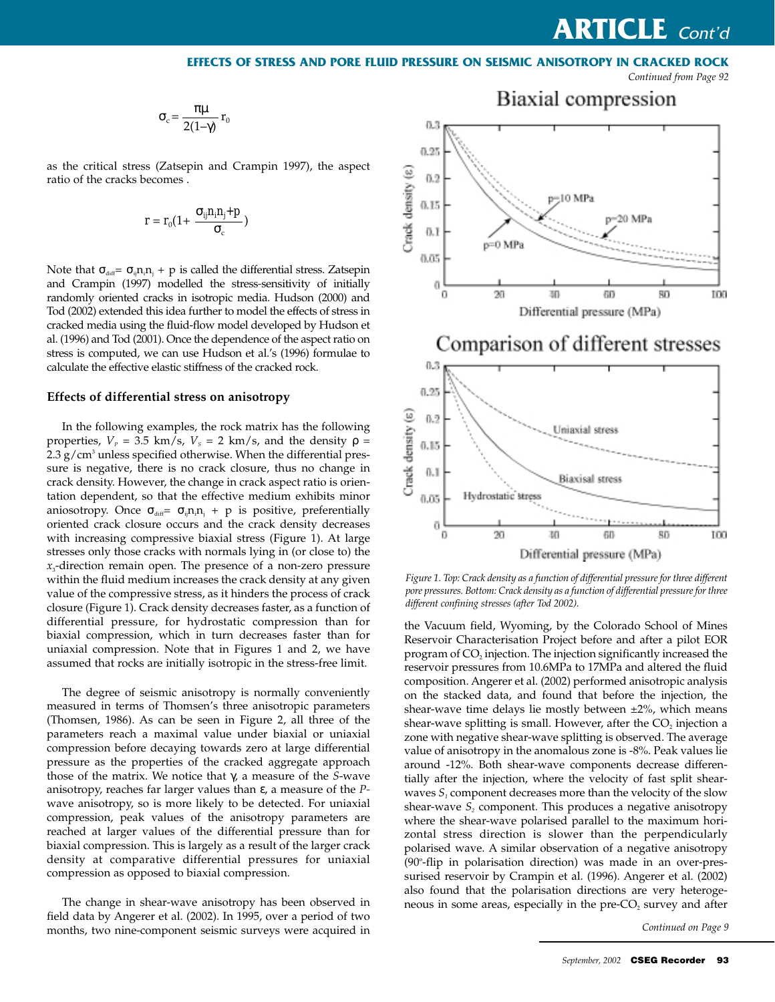### **EFFECTS OF STRESS AND PORE FLUID PRESSURE ON SEISMIC ANISOTROPY IN CRACKED ROCK**

*Continued from Page 92*

$$
\sigma_c = \frac{\pi \mu}{2(1-\gamma)} r_0
$$

as the critical stress (Zatsepin and Crampin 1997), the aspect ratio of the cracks becomes .

$$
r = r_0(1 + \frac{\sigma_{ij} n_i n_j + p}{\sigma_c})
$$

Note that  $\sigma_{\text{diff}} = \sigma_{\text{ij}} n_{\text{i}} n_{\text{j}} + p$  is called the differential stress. Zatsepin and Crampin (1997) modelled the stress*-*sensitivity of initially randomly oriented cracks in isotropic media. Hudson (2000) and Tod (2002) extended this idea further to model the effects of stress in cracked media using the fluid-flow model developed by Hudson et al. (1996) and Tod (2001). Once the dependence of the aspect ratio on stress is computed, we can use Hudson et al.'s (1996) formulae to calculate the effective elastic stiffness of the cracked rock.

### **Effects of differential stress on anisotropy**

In the following examples, the rock matrix has the following properties,  $V_p = 3.5$  km/s,  $V_s = 2$  km/s, and the density  $\rho =$  $2.3$  g/cm<sup>3</sup> unless specified otherwise. When the differential pressure is negative, there is no crack closure, thus no change in crack density. However, the change in crack aspect ratio is orientation dependent, so that the effective medium exhibits minor aniosotropy. Once  $\sigma_{\text{diff}} = \sigma_{\text{inf}} n_i n_j + p$  is positive, preferentially oriented crack closure occurs and the crack density decreases with increasing compressive biaxial stress (Figure 1). At large stresses only those cracks with normals lying in (or close to) the *x*3-direction remain open. The presence of a non-zero pressure within the fluid medium increases the crack density at any given value of the compressive stress, as it hinders the process of crack closure (Figure 1). Crack density decreases faster, as a function of differential pressure, for hydrostatic compression than for biaxial compression, which in turn decreases faster than for uniaxial compression. Note that in Figures 1 and 2, we have assumed that rocks are initially isotropic in the stress-free limit.

The degree of seismic anisotropy is normally conveniently measured in terms of Thomsen's three anisotropic parameters (Thomsen, 1986). As can be seen in Figure 2, all three of the parameters reach a maximal value under biaxial or uniaxial compression before decaying towards zero at large differential pressure as the properties of the cracked aggregate approach those of the matrix. We notice that γ, a measure of the *S*-wave anisotropy, reaches far larger values than ε, a measure of the *P*wave anisotropy, so is more likely to be detected. For uniaxial compression, peak values of the anisotropy parameters are reached at larger values of the differential pressure than for biaxial compression. This is largely as a result of the larger crack density at comparative differential pressures for uniaxial compression as opposed to biaxial compression.

The change in shear-wave anisotropy has been observed in field data by Angerer et al. (2002). In 1995, over a period of two months, two nine-component seismic surveys were acquired in



## Comparison of different stresses



*Figure 1. Top: Crack density as a function of differential pressure for three different pore pressures. Bottom: Crack density as a function of differential pressure for three different confining stresses (after Tod 2002).*

the Vacuum field, Wyoming, by the Colorado School of Mines Reservoir Characterisation Project before and after a pilot EOR program of  $CO<sub>2</sub>$  injection. The injection significantly increased the reservoir pressures from 10.6MPa to 17MPa and altered the fluid composition. Angerer et al. (2002) performed anisotropic analysis on the stacked data, and found that before the injection, the shear-wave time delays lie mostly between ±2%, which means shear-wave splitting is small. However, after the  $CO<sub>2</sub>$  injection a zone with negative shear-wave splitting is observed. The average value of anisotropy in the anomalous zone is -8%. Peak values lie around -12%. Both shear-wave components decrease differentially after the injection, where the velocity of fast split shearwaves  $S<sub>1</sub>$  component decreases more than the velocity of the slow shear-wave  $S<sub>2</sub>$  component. This produces a negative anisotropy where the shear-wave polarised parallel to the maximum horizontal stress direction is slower than the perpendicularly polarised wave. A similar observation of a negative anisotropy (90°-flip in polarisation direction) was made in an over-pressurised reservoir by Crampin et al. (1996). Angerer et al. (2002) also found that the polarisation directions are very heterogeneous in some areas, especially in the pre- $CO<sub>2</sub>$  survey and after

*Continued on Page 9*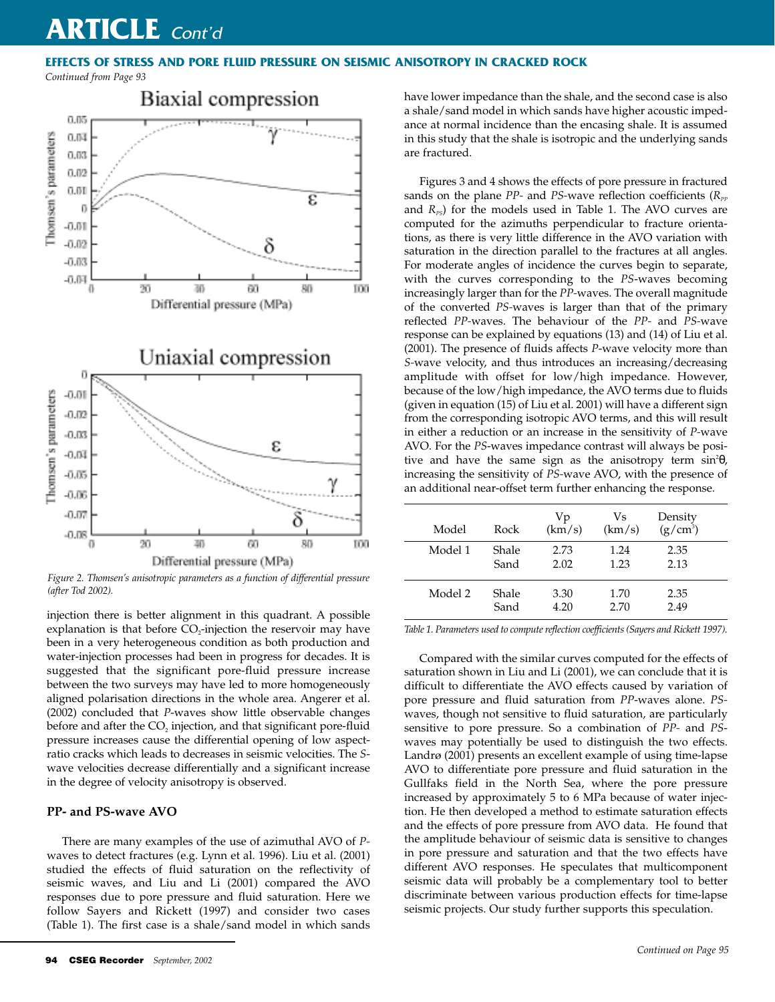### **EFFECTS OF STRESS AND PORE FLUID PRESSURE ON SEISMIC ANISOTROPY IN CRACKED ROCK**

*Continued from Page 93*



*Figure 2. Thomsen's anisotropic parameters as a function of differential pressure (after Tod 2002).*

injection there is better alignment in this quadrant. A possible explanation is that before  $CO<sub>2</sub>$ -injection the reservoir may have been in a very heterogeneous condition as both production and water-injection processes had been in progress for decades. It is suggested that the significant pore-fluid pressure increase between the two surveys may have led to more homogeneously aligned polarisation directions in the whole area. Angerer et al. (2002) concluded that *P*-waves show little observable changes before and after the CO<sub>2</sub> injection, and that significant pore-fluid pressure increases cause the differential opening of low aspectratio cracks which leads to decreases in seismic velocities. The *S*wave velocities decrease differentially and a significant increase in the degree of velocity anisotropy is observed.

### **PP- and PS-wave AVO**

There are many examples of the use of azimuthal AVO of *P*waves to detect fractures (e.g. Lynn et al. 1996). Liu et al. (2001) studied the effects of fluid saturation on the reflectivity of seismic waves, and Liu and Li (2001) compared the AVO responses due to pore pressure and fluid saturation. Here we follow Sayers and Rickett (1997) and consider two cases (Table 1). The first case is a shale/sand model in which sands

have lower impedance than the shale, and the second case is also a shale/sand model in which sands have higher acoustic impedance at normal incidence than the encasing shale. It is assumed in this study that the shale is isotropic and the underlying sands are fractured.

Figures 3 and 4 shows the effects of pore pressure in fractured sands on the plane *PP*- and *PS*-wave reflection coefficients ( $R_{pp}$ ) and  $R_{PS}$ ) for the models used in Table 1. The AVO curves are computed for the azimuths perpendicular to fracture orientations, as there is very little difference in the AVO variation with saturation in the direction parallel to the fractures at all angles. For moderate angles of incidence the curves begin to separate, with the curves corresponding to the *PS*-waves becoming increasingly larger than for the *PP-*waves. The overall magnitude of the converted *PS-*waves is larger than that of the primary reflected *PP-*waves. The behaviour of the *PP-* and *PS-*wave response can be explained by equations (13) and (14) of Liu et al. (2001). The presence of fluids affects *P*-wave velocity more than *S-*wave velocity, and thus introduces an increasing/decreasing amplitude with offset for low/high impedance. However, because of the low/high impedance, the AVO terms due to fluids (given in equation  $(15)$  of Liu et al. 2001) will have a different sign from the corresponding isotropic AVO terms, and this will result in either a reduction or an increase in the sensitivity of *P-*wave AVO. For the *PS*-waves impedance contrast will always be positive and have the same sign as the anisotropy term  $\sin^2\theta$ , increasing the sensitivity of *PS-*wave AVO, with the presence of an additional near-offset term further enhancing the response.

| Model   | Rock  | Vp<br>(km/s) | Vs<br>(km/s) | Density<br>$(g/cm^3)$ |
|---------|-------|--------------|--------------|-----------------------|
| Model 1 | Shale | 2.73         | 1.24         | 2.35                  |
|         | Sand  | 2.02         | 1.23         | 2.13                  |
| Model 2 | Shale | 3.30         | 1.70         | 2.35                  |
|         | Sand  | 4.20         | 2.70         | 2.49                  |

*Table 1. Parameters used to compute reflection coefficients (Sayers and Rickett 1997).*

Compared with the similar curves computed for the effects of saturation shown in Liu and Li (2001), we can conclude that it is difficult to differentiate the AVO effects caused by variation of pore pressure and fluid saturation from *PP*-waves alone. *PS*waves, though not sensitive to fluid saturation, are particularly sensitive to pore pressure. So a combination of *PP-* and *PS*waves may potentially be used to distinguish the two effects. Landrø (2001) presents an excellent example of using time-lapse AVO to differentiate pore pressure and fluid saturation in the Gullfaks field in the North Sea, where the pore pressure increased by approximately 5 to 6 MPa because of water injection. He then developed a method to estimate saturation effects and the effects of pore pressure from AVO data. He found that the amplitude behaviour of seismic data is sensitive to changes in pore pressure and saturation and that the two effects have different AVO responses. He speculates that multicomponent seismic data will probably be a complementary tool to better discriminate between various production effects for time-lapse seismic projects. Our study further supports this speculation.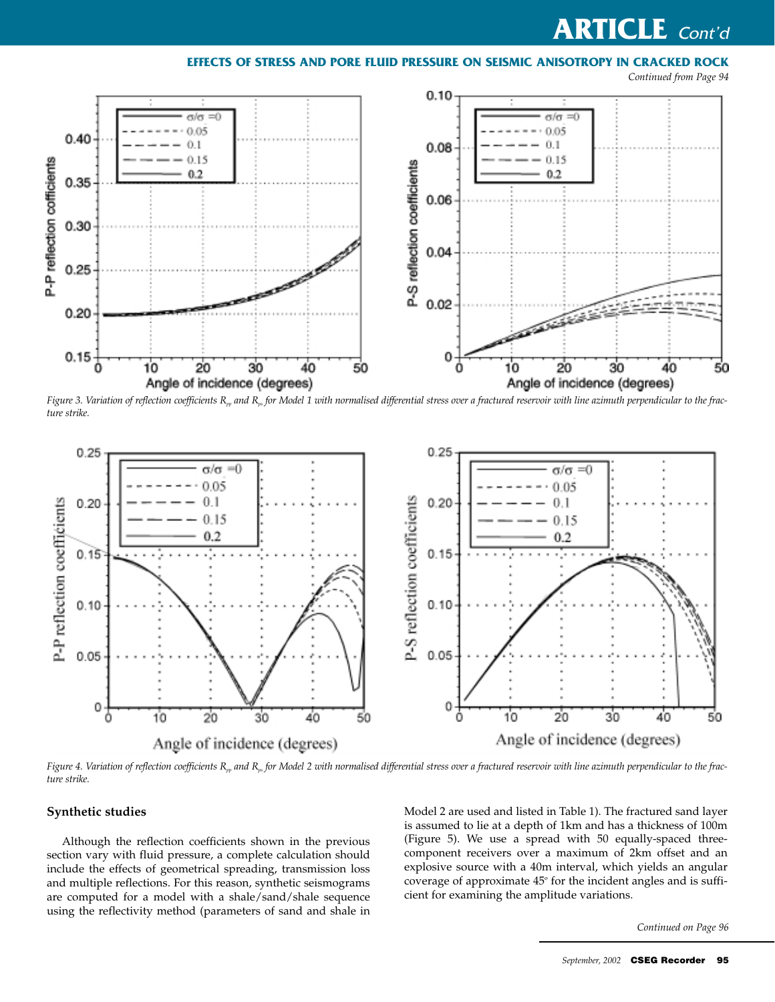### **EFFECTS OF STRESS AND PORE FLUID PRESSURE ON SEISMIC ANISOTROPY IN CRACKED ROCK**

*Continued from Page 94*



Figure 3. Variation of reflection coefficients R<sub>np</sub> and R<sub>np</sub> for Model 1 with normalised differential stress over a fractured reservoir with line azimuth perpendicular to the frac*ture strike.*



Figure 4. Variation of reflection coefficients R<sub>np</sub> and R<sub>np</sub> for Model 2 with normalised differential stress over a fractured reservoir with line azimuth perpendicular to the frac*ture strike.*

### **Synthetic studies**

Although the reflection coefficients shown in the previous section vary with fluid pressure, a complete calculation should include the effects of geometrical spreading, transmission loss and multiple reflections. For this reason, synthetic seismograms are computed for a model with a shale/sand/shale sequence using the reflectivity method (parameters of sand and shale in

Model 2 are used and listed in Table 1). The fractured sand layer is assumed to lie at a depth of 1km and has a thickness of 100m (Figure 5). We use a spread with 50 equally-spaced threecomponent receivers over a maximum of 2km offset and an explosive source with a 40m interval, which yields an angular coverage of approximate  $45^{\circ}$  for the incident angles and is sufficient for examining the amplitude variations.

*Continued on Page 96*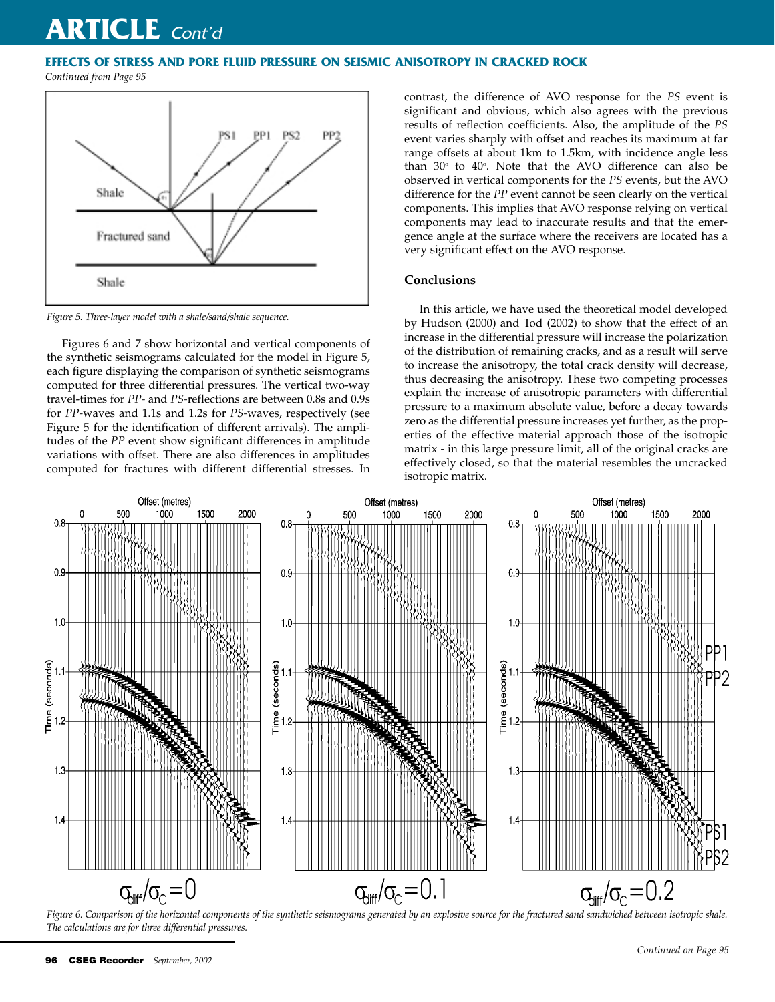### **EFFECTS OF STRESS AND PORE FLUID PRESSURE ON SEISMIC ANISOTROPY IN CRACKED ROCK**

*Continued from Page 95*



*Figure 5. Three-layer model with a shale/sand/shale sequence.*

Figures 6 and 7 show horizontal and vertical components of the synthetic seismograms calculated for the model in Figure 5, each figure displaying the comparison of synthetic seismograms computed for three differential pressures. The vertical two-way travel-times for *PP-* and *PS-*reflections are between 0.8s and 0.9s for *PP-*waves and 1.1s and 1.2s for *PS-*waves, respectively (see Figure 5 for the identification of different arrivals). The amplitudes of the *PP* event show significant differences in amplitude variations with offset. There are also differences in amplitudes computed for fractures with different differential stresses. In contrast, the difference of AVO response for the *PS* event is significant and obvious, which also agrees with the previous results of reflection coefficients. Also, the amplitude of the *PS* event varies sharply with offset and reaches its maximum at far range offsets at about 1km to 1.5km, with incidence angle less than  $30^{\circ}$  to  $40^{\circ}$ . Note that the AVO difference can also be observed in vertical components for the *PS* events, but the AVO difference for the *PP* event cannot be seen clearly on the vertical components. This implies that AVO response relying on vertical components may lead to inaccurate results and that the emergence angle at the surface where the receivers are located has a very significant effect on the AVO response.

### **Conclusions**

In this article, we have used the theoretical model developed by Hudson (2000) and Tod (2002) to show that the effect of an increase in the differential pressure will increase the polarization of the distribution of remaining cracks, and as a result will serve to increase the anisotropy, the total crack density will decrease, thus decreasing the anisotropy. These two competing processes explain the increase of anisotropic parameters with differential pressure to a maximum absolute value, before a decay towards zero as the differential pressure increases yet further, as the properties of the effective material approach those of the isotropic matrix - in this large pressure limit, all of the original cracks are effectively closed, so that the material resembles the uncracked isotropic matrix.



*Figure 6. Comparison of the horizontal components of the synthetic seismograms generated by an explosive source for the fractured sand sandwiched between isotropic shale. The calculations are for three differential pressures.*